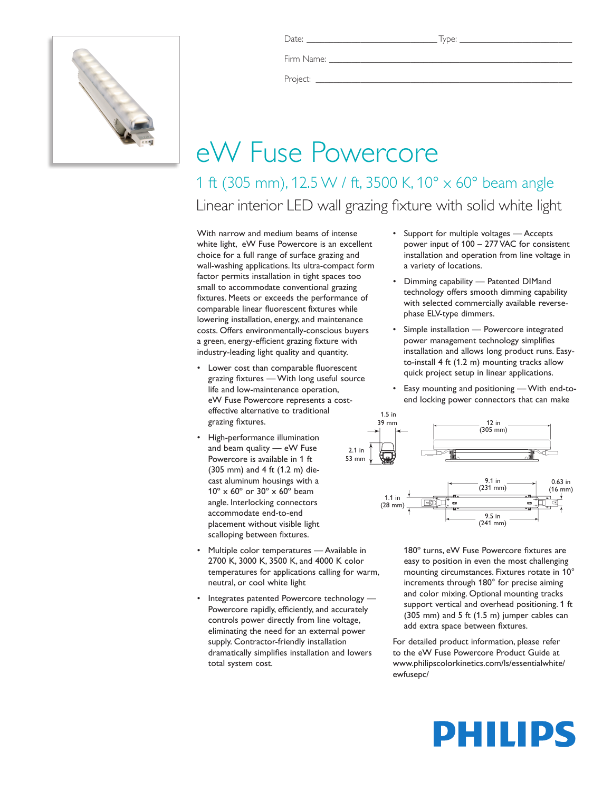

Firm Name:

Project: \_\_\_\_\_\_\_\_\_\_\_\_\_\_\_\_\_\_\_\_\_\_\_\_\_\_\_\_\_\_\_\_\_\_\_\_\_\_\_\_\_\_\_\_\_\_\_\_\_\_\_\_\_\_\_\_\_

## eW Fuse Powercore

1 ft (305 mm), 12.5 W / ft, 3500 K, 10° x 60° beam angle Linear interior LED wall grazing fixture with solid white light

With narrow and medium beams of intense white light, eW Fuse Powercore is an excellent choice for a full range of surface grazing and wall-washing applications. Its ultra-compact form factor permits installation in tight spaces too small to accommodate conventional grazing fixtures. Meets or exceeds the performance of comparable linear fluorescent fixtures while lowering installation, energy, and maintenance costs. Offers environmentally-conscious buyers a green, energy-efficient grazing fixture with industry-leading light quality and quantity.

- • Lower cost than comparable fluorescent grazing fixtures — With long useful source life and low-maintenance operation, eW Fuse Powercore represents a costeffective alternative to traditional grazing fixtures.
- • High-performance illumination and beam quality — eW Fuse Powercore is available in 1 ft (305 mm) and 4 ft (1.2 m) diecast aluminum housings with a 10º x 60º or 30º x 60º beam angle. Interlocking connectors accommodate end-to-end placement without visible light scalloping between fixtures.
- Multiple color temperatures Available in 2700 K, 3000 K, 3500 K, and 4000 K color temperatures for applications calling for warm, neutral, or cool white light
- Integrates patented Powercore technology -Powercore rapidly, efficiently, and accurately controls power directly from line voltage, eliminating the need for an external power supply. Contractor-friendly installation dramatically simplifies installation and lowers total system cost.
- • Support for multiple voltages Accepts power input of 100 – 277 VAC for consistent installation and operation from line voltage in a variety of locations.
- • Dimming capability Patented DIMand technology offers smooth dimming capability with selected commercially available reversephase ELV-type dimmers.
- • Simple installation Powercore integrated power management technology simplifies installation and allows long product runs. Easyto-install 4 ft (1.2 m) mounting tracks allow quick project setup in linear applications.
- Easy mounting and positioning With end-toend locking power connectors that can make



180º turns, eW Fuse Powercore fixtures are easy to position in even the most challenging mounting circumstances. Fixtures rotate in 10° increments through 180° for precise aiming and color mixing. Optional mounting tracks support vertical and overhead positioning. 1 ft (305 mm) and 5 ft (1.5 m) jumper cables can add extra space between fixtures.

For detailed product information, please refer to the eW Fuse Powercore Product Guide at www.philipscolorkinetics.com/ls/essentialwhite/ ewfusepc/

# PHILIPS